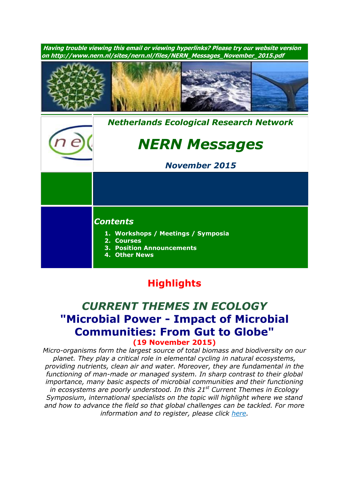

# **Highlights**

### *CURRENT THEMES IN ECOLOGY* **"Microbial Power - Impact of Microbial Communities: From Gut to Globe" (19 November 2015)**

*Micro-organisms form the largest source of total biomass and biodiversity on our planet. They play a critical role in elemental cycling in natural ecosystems, providing nutrients, clean air and water. Moreover, they are fundamental in the functioning of man-made or managed system. In sharp contrast to their global importance, many basic aspects of microbial communities and their functioning in ecosystems are poorly understood. In this 21 st Current Themes in Ecology Symposium, international specialists on the topic will highlight where we stand and how to advance the field so that global challenges can be tackled. For more information and to register, please click [here.](http://nern.nl/CT2015)*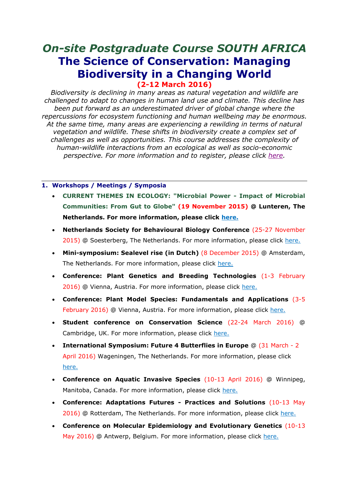## *On-site Postgraduate Course SOUTH AFRICA* **The Science of Conservation: Managing Biodiversity in a Changing World (2-12 March 2016)**

*Biodiversity is declining in many areas as natural vegetation and wildlife are challenged to adapt to changes in human land use and climate. This decline has been put forward as an underestimated driver of global change where the repercussions for ecosystem functioning and human wellbeing may be enormous. At the same time, many areas are experiencing a rewilding in terms of natural vegetation and wildlife. These shifts in biodiversity create a complex set of challenges as well as opportunities. This course addresses the complexity of human-wildlife interactions from an ecological as well as socio-economic perspective. For more information and to register, please click [here.](https://www.pe-rc.nl/biodiversity2016)*

#### **1. Workshops / Meetings / Symposia**

- **CURRENT THEMES IN ECOLOGY: "Microbial Power - Impact of Microbial Communities: From Gut to Globe" (19 November 2015) @ Lunteren, The Netherlands. For more information, please click [here.](http://nern.nl/CT2015)**
- **Netherlands Society for Behavioural Biology Conference** (25-27 November 2015) @ Soesterberg, The Netherlands. For more information, please click [here.](http://www.gedragsbiologie.nl/)
- **Mini-symposium: Sealevel rise (in Dutch)** (8 December 2015) @ Amsterdam, The Netherlands. For more information, please click [here.](http://knaw.nl/nl/actueel/agenda/zeespiegelstijging)
- **Conference: Plant Genetics and Breeding Technologies** (1-3 February 2016) @ Vienna, Austria. For more information, please click [here.](http://viscea.org/index.php/plant-genetics-breeding)
- **Conference: Plant Model Species: Fundamentals and Applications** (3-5 February 2016) @ Vienna, Austria. For more information, please click [here.](http://viscea.org/index.php/plant-model-species)
- **Student conference on Conservation Science** (22-24 March 2016) @ Cambridge, UK. For more information, please click [here.](http://sccs-cam.org/index.htm)
- **International Symposium: Future 4 Butterflies in Europe** @ (31 March 2 April 2016) Wageningen, The Netherlands. For more information, please click [here.](http://www.futureofbutterflies.nl/index.php?id=257)
- **Conference on Aquatic Invasive Species** (10-13 April 2016) @ Winnipeg, Manitoba, Canada. For more information, please click [here.](http://www.icais.org/)
- **Conference: Adaptations Futures - Practices and Solutions** (10-13 May 2016) @ Rotterdam, The Netherlands. For more information, please click [here.](http://www.adaptationfutures2016.org/)
- **Conference on Molecular Epidemiology and Evolutionary Genetics** (10-13 May 2016) @ Antwerp, Belgium. For more information, please click [here.](http://www.meegidconference.com/)